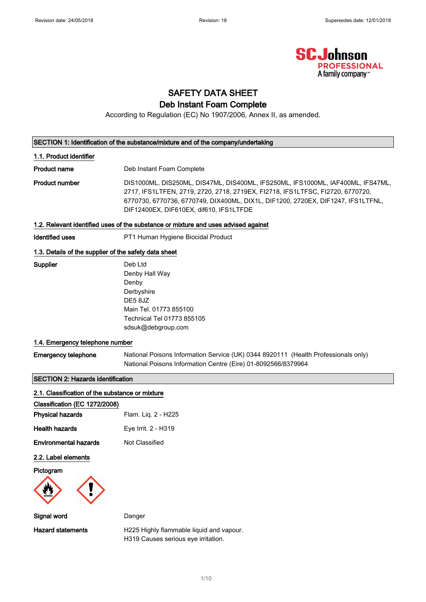

# SAFETY DATA SHEET Deb Instant Foam Complete

According to Regulation (EC) No 1907/2006, Annex II, as amended.

#### SECTION 1: Identification of the substance/mixture and of the company/undertaking

#### 1.1. Product identifier

**Product name** Deb Instant Foam Complete

Product number DIS1000ML, DIS250ML, DIS47ML, DIS400ML, IFS250ML, IFS1000ML, IAF400ML, IFS47ML, 2717, IFS1LTFEN, 2719, 2720, 2718, 2719EX, FI2718, IFS1LTFSC, FI2720, 6770720, 6770730, 6770736, 6770749, DIX400ML, DIX1L, DIF1200, 2720EX, DIF1247, IFS1LTFNL, DIF12400EX, DIF610EX, dif610, IFS1LTFDE

#### 1.2. Relevant identified uses of the substance or mixture and uses advised against

Identified uses **PT1 Human Hygiene Biocidal Product** 

#### 1.3. Details of the supplier of the safety data sheet

| Supplier | Deb Ltd                    |
|----------|----------------------------|
|          | Denby Hall Way             |
|          | Denby                      |
|          | Derbyshire                 |
|          | DE5 8JZ                    |
|          | Main Tel. 01773 855100     |
|          | Technical Tel 01773 855105 |
|          | sdsuk@debgroup.com         |

## 1.4. Emergency telephone number

Emergency telephone National Poisons Information Service (UK) 0344 8920111 (Health Professionals only) National Poisons Information Centre (Eire) 01-8092566/8379964

## SECTION 2: Hazards identification

| 2.1. Classification of the substance or mixture |                                          |
|-------------------------------------------------|------------------------------------------|
| Classification (EC 1272/2008)                   |                                          |
| <b>Physical hazards</b>                         | Flam. Liq. 2 - H225                      |
| <b>Health hazards</b>                           | Eye Irrit. 2 - H319                      |
| <b>Environmental hazards</b>                    | Not Classified                           |
| 2.2. Label elements                             |                                          |
| Pictogram                                       |                                          |
| Signal word                                     | Danger                                   |
| <b>Hazard statements</b>                        | H225 Highly flammable liquid and vapour. |

1/ 10

H319 Causes serious eye irritation.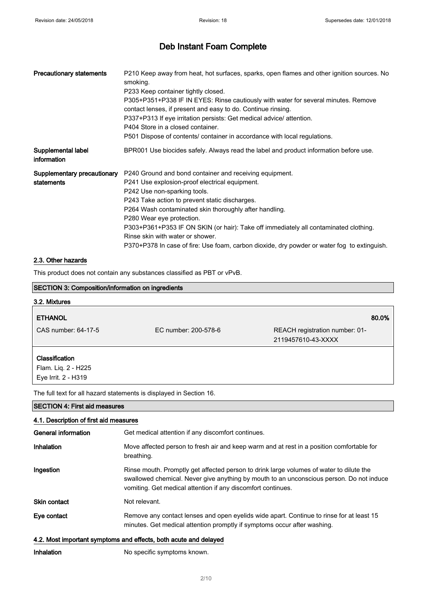| <b>Precautionary statements</b>   | P210 Keep away from heat, hot surfaces, sparks, open flames and other ignition sources. No<br>smoking.<br>P233 Keep container tightly closed.<br>P305+P351+P338 IF IN EYES: Rinse cautiously with water for several minutes. Remove<br>contact lenses, if present and easy to do. Continue rinsing.<br>P337+P313 If eye irritation persists: Get medical advice/ attention.<br>P404 Store in a closed container.                                                                                                                          |
|-----------------------------------|-------------------------------------------------------------------------------------------------------------------------------------------------------------------------------------------------------------------------------------------------------------------------------------------------------------------------------------------------------------------------------------------------------------------------------------------------------------------------------------------------------------------------------------------|
|                                   | P501 Dispose of contents/ container in accordance with local regulations.                                                                                                                                                                                                                                                                                                                                                                                                                                                                 |
| Supplemental label<br>information | BPR001 Use biocides safely. Always read the label and product information before use.                                                                                                                                                                                                                                                                                                                                                                                                                                                     |
| statements                        | Supplementary precautionary P240 Ground and bond container and receiving equipment.<br>P241 Use explosion-proof electrical equipment.<br>P242 Use non-sparking tools.<br>P243 Take action to prevent static discharges.<br>P264 Wash contaminated skin thoroughly after handling.<br>P280 Wear eye protection.<br>P303+P361+P353 IF ON SKIN (or hair): Take off immediately all contaminated clothing.<br>Rinse skin with water or shower.<br>P370+P378 In case of fire: Use foam, carbon dioxide, dry powder or water fog to extinguish. |

### 2.3. Other hazards

This product does not contain any substances classified as PBT or vPvB.

| <b>SECTION 3: Composition/information on ingredients</b> |                                                                                                         |                                                      |
|----------------------------------------------------------|---------------------------------------------------------------------------------------------------------|------------------------------------------------------|
| 3.2. Mixtures                                            |                                                                                                         |                                                      |
| <b>ETHANOL</b>                                           |                                                                                                         | 80.0%                                                |
| CAS number: 64-17-5                                      | EC number: 200-578-6                                                                                    | REACH registration number: 01-<br>2119457610-43-XXXX |
| <b>Classification</b>                                    |                                                                                                         |                                                      |
| Flam. Liq. 2 - H225                                      |                                                                                                         |                                                      |
| Eye Irrit. 2 - H319                                      |                                                                                                         |                                                      |
|                                                          | The full text for all hazard statements is displayed in Section 16.                                     |                                                      |
| <b>SECTION 4: First aid measures</b>                     |                                                                                                         |                                                      |
| 4.1. Description of first aid measures                   |                                                                                                         |                                                      |
| General information                                      | Get medical attention if any discomfort continues.                                                      |                                                      |
| Inhalation                                               | Move affected person to fresh air and keep warm and at rest in a position comfortable for<br>breathing. |                                                      |

Ingestion Rinse mouth. Promptly get affected person to drink large volumes of water to dilute the swallowed chemical. Never give anything by mouth to an unconscious person. Do not induce vomiting. Get medical attention if any discomfort continues.

Skin contact Not relevant.

| Eye contact | Remove any contact lenses and open eyelids wide apart. Continue to rinse for at least 15 |
|-------------|------------------------------------------------------------------------------------------|
|             | minutes. Get medical attention promptly if symptoms occur after washing.                 |

### 4.2. Most important symptoms and effects, both acute and delayed

Inhalation No specific symptoms known.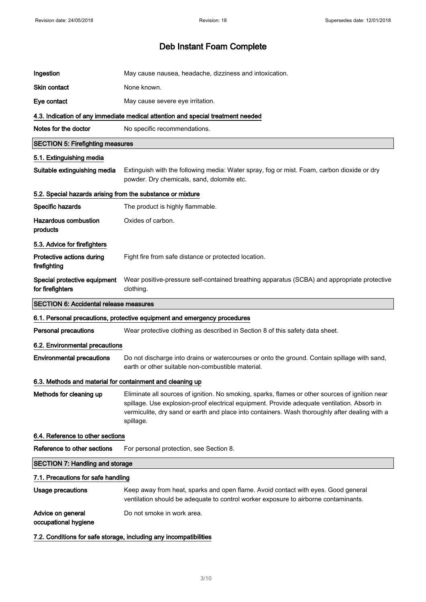| Ingestion                                                  | May cause nausea, headache, dizziness and intoxication.                                                                                                                                                                                                                                                       |
|------------------------------------------------------------|---------------------------------------------------------------------------------------------------------------------------------------------------------------------------------------------------------------------------------------------------------------------------------------------------------------|
| <b>Skin contact</b>                                        | None known.                                                                                                                                                                                                                                                                                                   |
| Eye contact                                                | May cause severe eye irritation.                                                                                                                                                                                                                                                                              |
|                                                            | 4.3. Indication of any immediate medical attention and special treatment needed                                                                                                                                                                                                                               |
| Notes for the doctor                                       | No specific recommendations.                                                                                                                                                                                                                                                                                  |
| <b>SECTION 5: Firefighting measures</b>                    |                                                                                                                                                                                                                                                                                                               |
| 5.1. Extinguishing media                                   |                                                                                                                                                                                                                                                                                                               |
| Suitable extinguishing media                               | Extinguish with the following media: Water spray, fog or mist. Foam, carbon dioxide or dry<br>powder. Dry chemicals, sand, dolomite etc.                                                                                                                                                                      |
| 5.2. Special hazards arising from the substance or mixture |                                                                                                                                                                                                                                                                                                               |
| Specific hazards                                           | The product is highly flammable.                                                                                                                                                                                                                                                                              |
| <b>Hazardous combustion</b><br>products                    | Oxides of carbon.                                                                                                                                                                                                                                                                                             |
| 5.3. Advice for firefighters                               |                                                                                                                                                                                                                                                                                                               |
| Protective actions during<br>firefighting                  | Fight fire from safe distance or protected location.                                                                                                                                                                                                                                                          |
| Special protective equipment<br>for firefighters           | Wear positive-pressure self-contained breathing apparatus (SCBA) and appropriate protective<br>clothing.                                                                                                                                                                                                      |
| <b>SECTION 6: Accidental release measures</b>              |                                                                                                                                                                                                                                                                                                               |
|                                                            | 6.1. Personal precautions, protective equipment and emergency procedures                                                                                                                                                                                                                                      |
| <b>Personal precautions</b>                                | Wear protective clothing as described in Section 8 of this safety data sheet.                                                                                                                                                                                                                                 |
| 6.2. Environmental precautions                             |                                                                                                                                                                                                                                                                                                               |
| <b>Environmental precautions</b>                           | Do not discharge into drains or watercourses or onto the ground. Contain spillage with sand,<br>earth or other suitable non-combustible material.                                                                                                                                                             |
| 6.3. Methods and material for containment and cleaning up  |                                                                                                                                                                                                                                                                                                               |
| Methods for cleaning up                                    | Eliminate all sources of ignition. No smoking, sparks, flames or other sources of ignition near<br>spillage. Use explosion-proof electrical equipment. Provide adequate ventilation. Absorb in<br>vermiculite, dry sand or earth and place into containers. Wash thoroughly after dealing with a<br>spillage. |
| 6.4. Reference to other sections                           |                                                                                                                                                                                                                                                                                                               |
| Reference to other sections                                | For personal protection, see Section 8.                                                                                                                                                                                                                                                                       |
| <b>SECTION 7: Handling and storage</b>                     |                                                                                                                                                                                                                                                                                                               |
| 7.1. Precautions for safe handling                         |                                                                                                                                                                                                                                                                                                               |
| <b>Usage precautions</b>                                   | Keep away from heat, sparks and open flame. Avoid contact with eyes. Good general<br>ventilation should be adequate to control worker exposure to airborne contaminants.                                                                                                                                      |
| Advice on general<br>occupational hygiene                  | Do not smoke in work area.                                                                                                                                                                                                                                                                                    |
|                                                            | 7.2. Conditions for safe storage, including any incompatibilities                                                                                                                                                                                                                                             |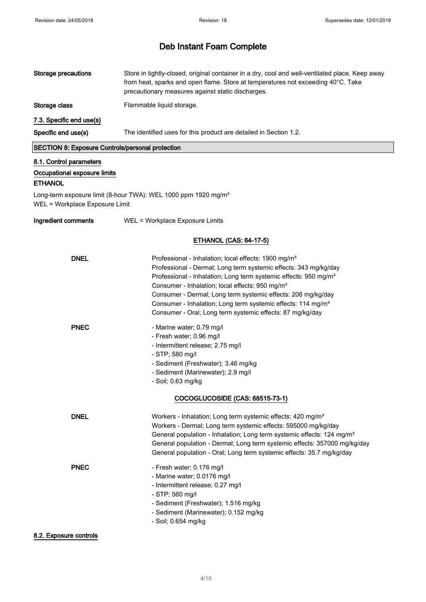| <b>Storage precautions</b>                                                | Store in tightly-closed, original container in a dry, cool and well-ventilated place. Keep away<br>from heat, sparks and open flame. Store at temperatures not exceeding 40°C. Take<br>precautionary measures against static discharges.                                                                                                                                                                                                                                                     |
|---------------------------------------------------------------------------|----------------------------------------------------------------------------------------------------------------------------------------------------------------------------------------------------------------------------------------------------------------------------------------------------------------------------------------------------------------------------------------------------------------------------------------------------------------------------------------------|
| Storage class                                                             | Flammable liquid storage.                                                                                                                                                                                                                                                                                                                                                                                                                                                                    |
| 7.3. Specific end use(s)                                                  |                                                                                                                                                                                                                                                                                                                                                                                                                                                                                              |
| Specific end use(s)                                                       | The identified uses for this product are detailed in Section 1.2.                                                                                                                                                                                                                                                                                                                                                                                                                            |
| <b>SECTION 8: Exposure Controls/personal protection</b>                   |                                                                                                                                                                                                                                                                                                                                                                                                                                                                                              |
| 8.1. Control parameters<br>Occupational exposure limits<br><b>ETHANOL</b> |                                                                                                                                                                                                                                                                                                                                                                                                                                                                                              |
| WEL = Workplace Exposure Limit                                            | Long-term exposure limit (8-hour TWA): WEL 1000 ppm 1920 mg/m <sup>3</sup>                                                                                                                                                                                                                                                                                                                                                                                                                   |
| Ingredient comments                                                       | WEL = Workplace Exposure Limits                                                                                                                                                                                                                                                                                                                                                                                                                                                              |
|                                                                           | <b>ETHANOL (CAS: 64-17-5)</b>                                                                                                                                                                                                                                                                                                                                                                                                                                                                |
| <b>DNEL</b>                                                               | Professional - Inhalation; local effects: 1900 mg/m <sup>3</sup><br>Professional - Dermal; Long term systemic effects: 343 mg/kg/day<br>Professional - Inhalation; Long term systemic effects: 950 mg/m <sup>3</sup><br>Consumer - Inhalation; local effects: 950 mg/m <sup>3</sup><br>Consumer - Dermal; Long term systemic effects: 206 mg/kg/day<br>Consumer - Inhalation; Long term systemic effects: 114 mg/m <sup>3</sup><br>Consumer - Oral; Long term systemic effects: 87 mg/kg/day |
| <b>PNEC</b>                                                               | - Marine water; 0.79 mg/l<br>- Fresh water; 0.96 mg/l<br>- Intermittent release; 2.75 mg/l<br>- STP; 580 mg/l<br>- Sediment (Freshwater); 3.46 mg/kg<br>- Sediment (Marinewater); 2.9 mg/l<br>- Soil; 0.63 mg/kg<br>COCOGLUCOSIDE (CAS: 68515-73-1)                                                                                                                                                                                                                                          |
| <b>DNEL</b>                                                               | Workers - Inhalation; Long term systemic effects: 420 mg/m <sup>3</sup><br>Workers - Dermal; Long term systemic effects: 595000 mg/kg/day<br>General population - Inhalation; Long term systemic effects: 124 mg/m <sup>3</sup><br>General population - Dermal; Long term systemic effects: 357000 mg/kg/day<br>General population - Oral; Long term systemic effects: 35.7 mg/kg/day                                                                                                        |
| <b>PNEC</b><br>8.2. Exposure controls                                     | - Fresh water; 0.176 mg/l<br>- Marine water; 0.0176 mg/l<br>- Intermittent release; 0.27 mg/l<br>- STP; 560 mg/l<br>- Sediment (Freshwater); 1.516 mg/kg<br>- Sediment (Marinewater); 0.152 mg/kg<br>- Soil; 0.654 mg/kg                                                                                                                                                                                                                                                                     |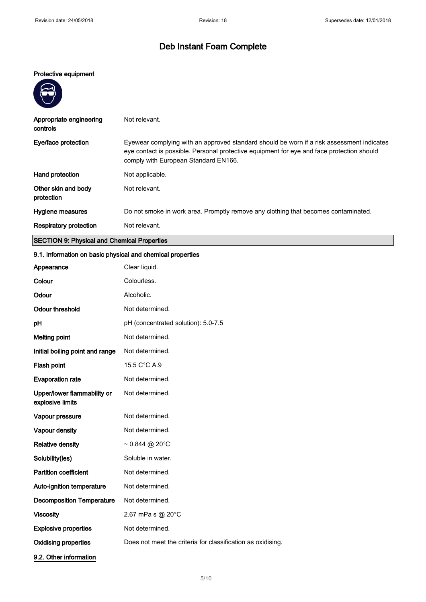### Protective equipment

**PARTIES** 

| Appropriate engineering<br>controls                | Not relevant.                                                                                                                                                                                                                  |
|----------------------------------------------------|--------------------------------------------------------------------------------------------------------------------------------------------------------------------------------------------------------------------------------|
| Eye/face protection                                | Eyewear complying with an approved standard should be worn if a risk assessment indicates<br>eye contact is possible. Personal protective equipment for eye and face protection should<br>comply with European Standard EN166. |
| Hand protection                                    | Not applicable.                                                                                                                                                                                                                |
| Other skin and body<br>protection                  | Not relevant.                                                                                                                                                                                                                  |
| Hygiene measures                                   | Do not smoke in work area. Promptly remove any clothing that becomes contaminated.                                                                                                                                             |
| <b>Respiratory protection</b>                      | Not relevant.                                                                                                                                                                                                                  |
| <b>SECTION 9: Physical and Chemical Properties</b> |                                                                                                                                                                                                                                |

# 9.1. Information on basic physical and chemical properties

| Appearance                                      | Clear liquid.                                               |
|-------------------------------------------------|-------------------------------------------------------------|
| Colour                                          | Colourless.                                                 |
| Odour                                           | Alcoholic.                                                  |
| <b>Odour threshold</b>                          | Not determined.                                             |
| pH                                              | pH (concentrated solution): 5.0-7.5                         |
| <b>Melting point</b>                            | Not determined.                                             |
| Initial boiling point and range                 | Not determined.                                             |
| Flash point                                     | 15.5 C°C A.9                                                |
| <b>Evaporation rate</b>                         | Not determined.                                             |
| Upper/lower flammability or<br>explosive limits | Not determined.                                             |
| Vapour pressure                                 | Not determined.                                             |
| Vapour density                                  | Not determined.                                             |
| <b>Relative density</b>                         | $\sim 0.844$ @ 20°C                                         |
| Solubility(ies)                                 | Soluble in water.                                           |
| <b>Partition coefficient</b>                    | Not determined.                                             |
| Auto-ignition temperature                       | Not determined.                                             |
| <b>Decomposition Temperature</b>                | Not determined.                                             |
| <b>Viscosity</b>                                | 2.67 mPa s $@$ 20 $°C$                                      |
| <b>Explosive properties</b>                     | Not determined.                                             |
| <b>Oxidising properties</b>                     | Does not meet the criteria for classification as oxidising. |
| 9.2. Other information                          |                                                             |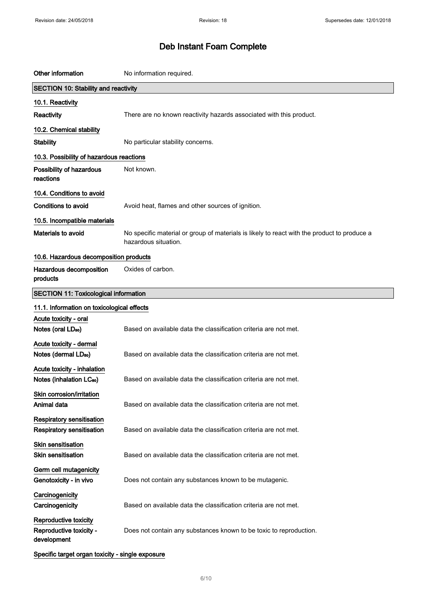| Other information                                                   | No information required.                                                                                            |
|---------------------------------------------------------------------|---------------------------------------------------------------------------------------------------------------------|
| <b>SECTION 10: Stability and reactivity</b>                         |                                                                                                                     |
| 10.1. Reactivity                                                    |                                                                                                                     |
| Reactivity                                                          | There are no known reactivity hazards associated with this product.                                                 |
| 10.2. Chemical stability                                            |                                                                                                                     |
| <b>Stability</b>                                                    | No particular stability concerns.                                                                                   |
| 10.3. Possibility of hazardous reactions                            |                                                                                                                     |
| Possibility of hazardous<br>reactions                               | Not known.                                                                                                          |
| 10.4. Conditions to avoid                                           |                                                                                                                     |
| <b>Conditions to avoid</b>                                          | Avoid heat, flames and other sources of ignition.                                                                   |
| 10.5. Incompatible materials                                        |                                                                                                                     |
| Materials to avoid                                                  | No specific material or group of materials is likely to react with the product to produce a<br>hazardous situation. |
| 10.6. Hazardous decomposition products                              |                                                                                                                     |
| Hazardous decomposition<br>products                                 | Oxides of carbon.                                                                                                   |
| <b>SECTION 11: Toxicological information</b>                        |                                                                                                                     |
| 11.1. Information on toxicological effects                          |                                                                                                                     |
| Acute toxicity - oral<br>Notes (oral LD <sub>50</sub> )             | Based on available data the classification criteria are not met.                                                    |
| Acute toxicity - dermal<br>Notes (dermal LD <sub>50</sub> )         | Based on available data the classification criteria are not met.                                                    |
| Acute toxicity - inhalation<br>Notes (inhalation LC <sub>50</sub> ) | Based on available data the classification criteria are not met.                                                    |
| Skin corrosion/irritation<br>Animal data                            | Based on available data the classification criteria are not met.                                                    |
| Respiratory sensitisation<br>Respiratory sensitisation              | Based on available data the classification criteria are not met.                                                    |
| <b>Skin sensitisation</b><br><b>Skin sensitisation</b>              | Based on available data the classification criteria are not met.                                                    |
| Germ cell mutagenicity<br>Genotoxicity - in vivo                    | Does not contain any substances known to be mutagenic.                                                              |
| Carcinogenicity<br>Carcinogenicity                                  | Based on available data the classification criteria are not met.                                                    |
| Reproductive toxicity<br>Reproductive toxicity -<br>development     | Does not contain any substances known to be toxic to reproduction.                                                  |
| Specific target organ toxicity - single exposure                    |                                                                                                                     |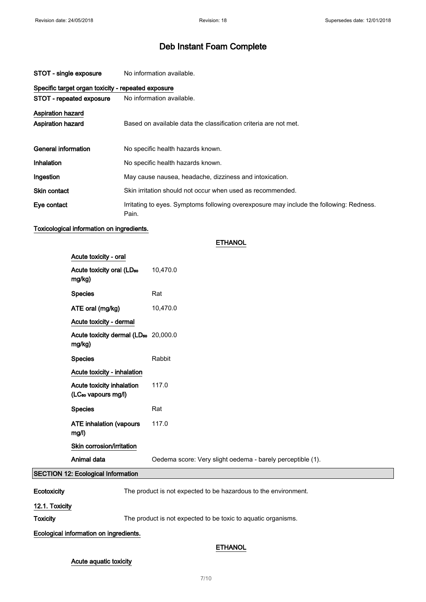| STOT - single exposure   | No information available.                                                                        |  |  |
|--------------------------|--------------------------------------------------------------------------------------------------|--|--|
|                          | Specific target organ toxicity - repeated exposure                                               |  |  |
| STOT - repeated exposure | No information available.                                                                        |  |  |
| <b>Aspiration hazard</b> |                                                                                                  |  |  |
| <b>Aspiration hazard</b> | Based on available data the classification criteria are not met.                                 |  |  |
|                          |                                                                                                  |  |  |
| General information      | No specific health hazards known.                                                                |  |  |
| Inhalation               | No specific health hazards known.                                                                |  |  |
| Ingestion                | May cause nausea, headache, dizziness and intoxication.                                          |  |  |
| <b>Skin contact</b>      | Skin irritation should not occur when used as recommended.                                       |  |  |
| Eye contact              | Irritating to eyes. Symptoms following overexposure may include the following: Redness.<br>Pain. |  |  |

## Toxicological information on ingredients.

| Acute toxicity - oral                                        |                                                            |
|--------------------------------------------------------------|------------------------------------------------------------|
| Acute toxicity oral (LD <sub>50</sub><br>mg/kg)              | 10,470.0                                                   |
| <b>Species</b>                                               | Rat                                                        |
| ATE oral (mg/kg)                                             | 10,470.0                                                   |
| Acute toxicity - dermal                                      |                                                            |
| Acute toxicity dermal (LD <sub>50</sub> 20,000.0<br>mg/kg)   |                                                            |
| <b>Species</b>                                               | Rabbit                                                     |
| Acute toxicity - inhalation                                  |                                                            |
| Acute toxicity inhalation<br>(LC <sub>50</sub> vapours mg/l) | 117.0                                                      |
| <b>Species</b>                                               | Rat                                                        |
| <b>ATE inhalation (vapours</b><br>mg/l)                      | 117.0                                                      |
| Skin corrosion/irritation                                    |                                                            |
| Animal data                                                  | Oedema score: Very slight oedema - barely perceptible (1). |
| 12: Ecological Information                                   |                                                            |

**ETHANOL** 

## **SECTION**

Ecotoxicity The product is not expected to be hazardous to the environment.

12.1. Toxicity

Toxicity The product is not expected to be toxic to aquatic organisms.

### Ecological information on ingredients.

# **ETHANOL**

### Acute aquatic toxicity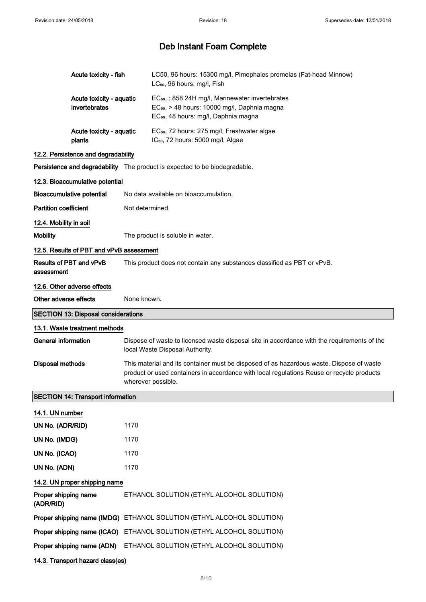|                                          | Acute toxicity - fish                      |                                                                         | LC50, 96 hours: 15300 mg/l, Pimephales promelas (Fat-head Minnow)<br>LC <sub>50</sub> , 96 hours: mg/l, Fish                                                                                                |  |  |
|------------------------------------------|--------------------------------------------|-------------------------------------------------------------------------|-------------------------------------------------------------------------------------------------------------------------------------------------------------------------------------------------------------|--|--|
|                                          | Acute toxicity - aquatic<br>invertebrates  |                                                                         | EC <sub>50</sub> , : 858 24H mg/l, Marinewater invertebrates<br>EC <sub>50</sub> , > 48 hours: 10000 mg/l, Daphnia magna<br>EC <sub>50</sub> , 48 hours: mg/l, Daphnia magna                                |  |  |
|                                          | Acute toxicity - aquatic<br>plants         |                                                                         | EC <sub>50</sub> , 72 hours: 275 mg/l, Freshwater algae<br>IC <sub>50</sub> , 72 hours: 5000 mg/l, Algae                                                                                                    |  |  |
|                                          | 12.2. Persistence and degradability        |                                                                         |                                                                                                                                                                                                             |  |  |
|                                          |                                            |                                                                         | Persistence and degradability The product is expected to be biodegradable.                                                                                                                                  |  |  |
|                                          | 12.3. Bioaccumulative potential            |                                                                         |                                                                                                                                                                                                             |  |  |
| <b>Bioaccumulative potential</b>         |                                            |                                                                         | No data available on bioaccumulation.                                                                                                                                                                       |  |  |
| <b>Partition coefficient</b>             |                                            | Not determined.                                                         |                                                                                                                                                                                                             |  |  |
| 12.4. Mobility in soil                   |                                            |                                                                         |                                                                                                                                                                                                             |  |  |
| <b>Mobility</b>                          |                                            |                                                                         | The product is soluble in water.                                                                                                                                                                            |  |  |
| 12.5. Results of PBT and vPvB assessment |                                            |                                                                         |                                                                                                                                                                                                             |  |  |
| Results of PBT and vPvB<br>assessment    |                                            | This product does not contain any substances classified as PBT or vPvB. |                                                                                                                                                                                                             |  |  |
|                                          | 12.6. Other adverse effects                |                                                                         |                                                                                                                                                                                                             |  |  |
| Other adverse effects                    |                                            | None known.                                                             |                                                                                                                                                                                                             |  |  |
|                                          | <b>SECTION 13: Disposal considerations</b> |                                                                         |                                                                                                                                                                                                             |  |  |
| 13.1. Waste treatment methods            |                                            |                                                                         |                                                                                                                                                                                                             |  |  |
|                                          |                                            |                                                                         |                                                                                                                                                                                                             |  |  |
| <b>General information</b>               |                                            |                                                                         | Dispose of waste to licensed waste disposal site in accordance with the requirements of the<br>local Waste Disposal Authority.                                                                              |  |  |
| <b>Disposal methods</b>                  |                                            |                                                                         | This material and its container must be disposed of as hazardous waste. Dispose of waste<br>product or used containers in accordance with local regulations Reuse or recycle products<br>wherever possible. |  |  |
|                                          | <b>SECTION 14: Transport information</b>   |                                                                         |                                                                                                                                                                                                             |  |  |
| 14.1. UN number                          |                                            |                                                                         |                                                                                                                                                                                                             |  |  |
| UN No. (ADR/RID)                         |                                            | 1170                                                                    |                                                                                                                                                                                                             |  |  |
| UN No. (IMDG)                            |                                            | 1170                                                                    |                                                                                                                                                                                                             |  |  |
| UN No. (ICAO)                            |                                            | 1170                                                                    |                                                                                                                                                                                                             |  |  |
| UN No. (ADN)                             |                                            | 1170                                                                    |                                                                                                                                                                                                             |  |  |
|                                          | 14.2. UN proper shipping name              |                                                                         |                                                                                                                                                                                                             |  |  |
| Proper shipping name<br>(ADR/RID)        |                                            |                                                                         | ETHANOL SOLUTION (ETHYL ALCOHOL SOLUTION)                                                                                                                                                                   |  |  |
|                                          | Proper shipping name (IMDG)                |                                                                         | ETHANOL SOLUTION (ETHYL ALCOHOL SOLUTION)                                                                                                                                                                   |  |  |
|                                          |                                            |                                                                         | Proper shipping name (ICAO) ETHANOL SOLUTION (ETHYL ALCOHOL SOLUTION)                                                                                                                                       |  |  |
|                                          | Proper shipping name (ADN)                 |                                                                         | ETHANOL SOLUTION (ETHYL ALCOHOL SOLUTION)                                                                                                                                                                   |  |  |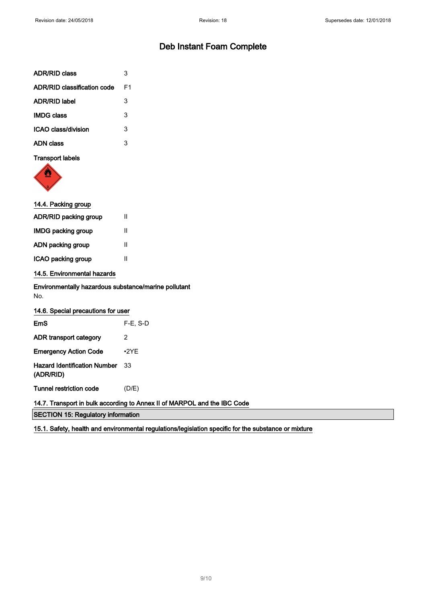| <b>ADR/RID class</b>               | 3  |
|------------------------------------|----|
| <b>ADR/RID classification code</b> | F1 |
| <b>ADR/RID label</b>               | 3  |
| <b>IMDG class</b>                  | 3  |
| ICAO class/division                | 3  |
| ADN class                          | 3  |
| <b>Transport labels</b>            |    |



# 14.4. Packing group

| ADR/RID packing group     | Ш |
|---------------------------|---|
| <b>IMDG packing group</b> | Ш |
| ADN packing group         | Ш |
| ICAO packing group        | Ш |
|                           |   |

## 14.5. Environmental hazards

Environmentally hazardous substance/marine pollutant No.

| 14.6. Special precautions for user                                       |             |  |  |  |
|--------------------------------------------------------------------------|-------------|--|--|--|
| EmS                                                                      | $F-E$ , S-D |  |  |  |
| ADR transport category                                                   | 2           |  |  |  |
| <b>Emergency Action Code</b>                                             | $\cdot$ 2YE |  |  |  |
| <b>Hazard Identification Number</b> 33<br>(ADR/RID)                      |             |  |  |  |
| Tunnel restriction code                                                  | (D/E)       |  |  |  |
| 14.7. Transport in bulk according to Annex II of MARPOL and the IBC Code |             |  |  |  |
| <b>SECTION 15: Regulatory information</b>                                |             |  |  |  |

15.1. Safety, health and environmental regulations/legislation specific for the substance or mixture